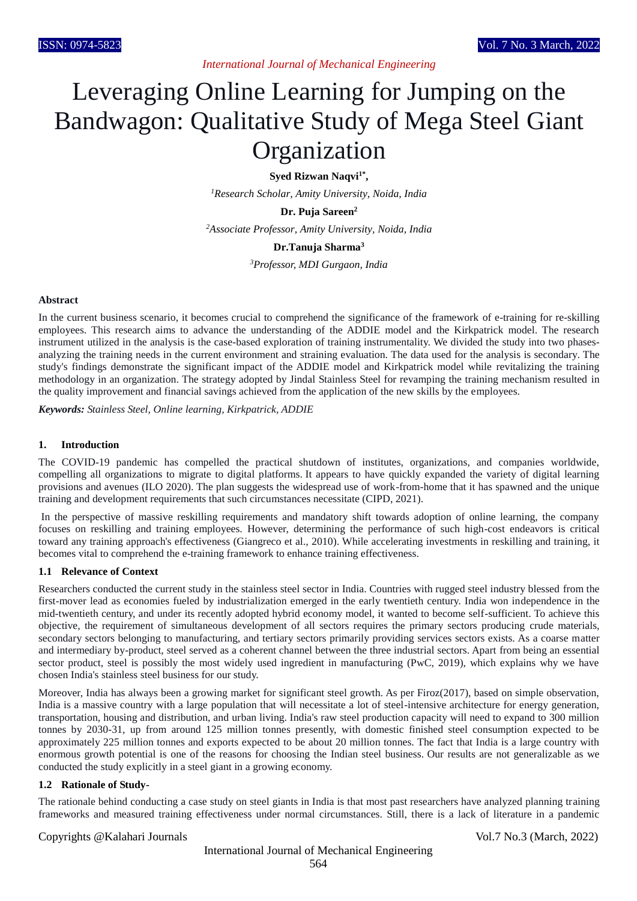*International Journal of Mechanical Engineering*

# Leveraging Online Learning for Jumping on the Bandwagon: Qualitative Study of Mega Steel Giant Organization

**Syed Rizwan Naqvi1\* ,**

*<sup>1</sup>Research Scholar, Amity University, Noida, India*

**Dr. Puja Sareen<sup>2</sup>**

*<sup>2</sup>Associate Professor, Amity University, Noida, India*

#### **Dr.Tanuja Sharma<sup>3</sup>**

*<sup>3</sup>Professor, MDI Gurgaon, India*

#### **Abstract**

In the current business scenario, it becomes crucial to comprehend the significance of the framework of e-training for re-skilling employees. This research aims to advance the understanding of the ADDIE model and the Kirkpatrick model. The research instrument utilized in the analysis is the case-based exploration of training instrumentality. We divided the study into two phasesanalyzing the training needs in the current environment and straining evaluation. The data used for the analysis is secondary. The study's findings demonstrate the significant impact of the ADDIE model and Kirkpatrick model while revitalizing the training methodology in an organization. The strategy adopted by Jindal Stainless Steel for revamping the training mechanism resulted in the quality improvement and financial savings achieved from the application of the new skills by the employees.

*Keywords: Stainless Steel, Online learning, Kirkpatrick, ADDIE*

#### **1. Introduction**

The COVID-19 pandemic has compelled the practical shutdown of institutes, organizations, and companies worldwide, compelling all organizations to migrate to digital platforms. It appears to have quickly expanded the variety of digital learning provisions and avenues (ILO 2020). The plan suggests the widespread use of work-from-home that it has spawned and the unique training and development requirements that such circumstances necessitate (CIPD, 2021).

In the perspective of massive reskilling requirements and mandatory shift towards adoption of online learning, the company focuses on reskilling and training employees. However, determining the performance of such high-cost endeavors is critical toward any training approach's effectiveness (Giangreco et al., 2010). While accelerating investments in reskilling and training, it becomes vital to comprehend the e-training framework to enhance training effectiveness.

#### **1.1 Relevance of Context**

Researchers conducted the current study in the stainless steel sector in India. Countries with rugged steel industry blessed from the first-mover lead as economies fueled by industrialization emerged in the early twentieth century. India won independence in the mid-twentieth century, and under its recently adopted hybrid economy model, it wanted to become self-sufficient. To achieve this objective, the requirement of simultaneous development of all sectors requires the primary sectors producing crude materials, secondary sectors belonging to manufacturing, and tertiary sectors primarily providing services sectors exists. As a coarse matter and intermediary by-product, steel served as a coherent channel between the three industrial sectors. Apart from being an essential sector product, steel is possibly the most widely used ingredient in manufacturing (PwC, 2019), which explains why we have chosen India's stainless steel business for our study.

Moreover, India has always been a growing market for significant steel growth. As per Firoz(2017), based on simple observation, India is a massive country with a large population that will necessitate a lot of steel-intensive architecture for energy generation, transportation, housing and distribution, and urban living. India's raw steel production capacity will need to expand to 300 million tonnes by 2030-31, up from around 125 million tonnes presently, with domestic finished steel consumption expected to be approximately 225 million tonnes and exports expected to be about 20 million tonnes. The fact that India is a large country with enormous growth potential is one of the reasons for choosing the Indian steel business. Our results are not generalizable as we conducted the study explicitly in a steel giant in a growing economy.

#### **1.2 Rationale of Study-**

The rationale behind conducting a case study on steel giants in India is that most past researchers have analyzed planning training frameworks and measured training effectiveness under normal circumstances. Still, there is a lack of literature in a pandemic

#### Copyrights @Kalahari Journals Vol.7 No.3 (March, 2022)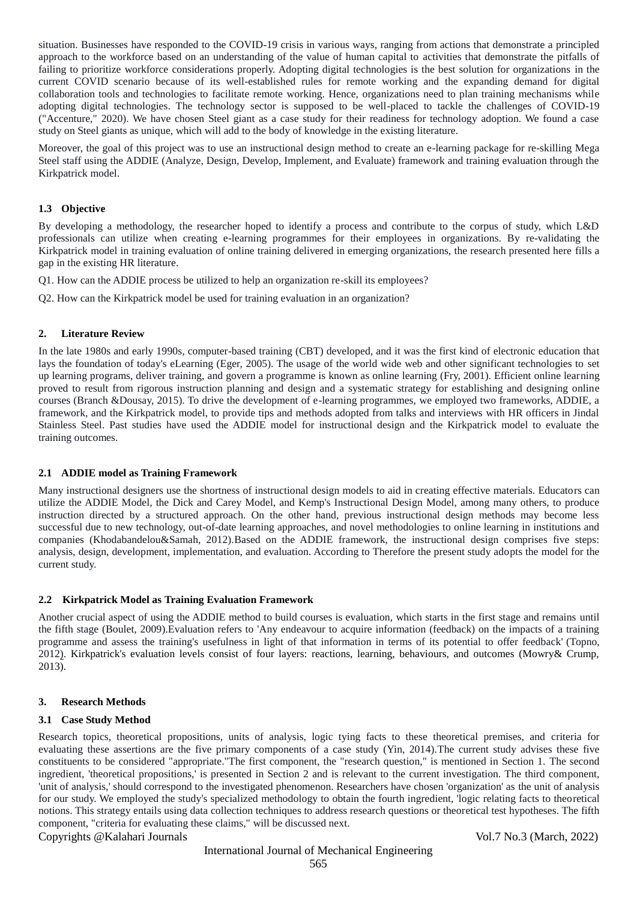situation. Businesses have responded to the COVID-19 crisis in various ways, ranging from actions that demonstrate a principled approach to the workforce based on an understanding of the value of human capital to activities that demonstrate the pitfalls of failing to prioritize workforce considerations properly. Adopting digital technologies is the best solution for organizations in the current COVID scenario because of its well-established rules for remote working and the expanding demand for digital collaboration tools and technologies to facilitate remote working. Hence, organizations need to plan training mechanisms while adopting digital technologies. The technology sector is supposed to be well-placed to tackle the challenges of COVID-19 ("Accenture," 2020). We have chosen Steel giant as a case study for their readiness for technology adoption. We found a case study on Steel giants as unique, which will add to the body of knowledge in the existing literature.

Moreover, the goal of this project was to use an instructional design method to create an e-learning package for re-skilling Mega Steel staff using the ADDIE (Analyze, Design, Develop, Implement, and Evaluate) framework and training evaluation through the Kirkpatrick model.

## **1.3 Objective**

By developing a methodology, the researcher hoped to identify a process and contribute to the corpus of study, which L&D professionals can utilize when creating e-learning programmes for their employees in organizations. By re-validating the Kirkpatrick model in training evaluation of online training delivered in emerging organizations, the research presented here fills a gap in the existing HR literature.

Q1. How can the ADDIE process be utilized to help an organization re-skill its employees?

Q2. How can the Kirkpatrick model be used for training evaluation in an organization?

#### **2. Literature Review**

In the late 1980s and early 1990s, computer-based training (CBT) developed, and it was the first kind of electronic education that lays the foundation of today's eLearning (Eger, 2005). The usage of the world wide web and other significant technologies to set up learning programs, deliver training, and govern a programme is known as online learning (Fry, 2001). Efficient online learning proved to result from rigorous instruction planning and design and a systematic strategy for establishing and designing online courses (Branch &Dousay, 2015). To drive the development of e-learning programmes, we employed two frameworks, ADDIE, a framework, and the Kirkpatrick model, to provide tips and methods adopted from talks and interviews with HR officers in Jindal Stainless Steel. Past studies have used the ADDIE model for instructional design and the Kirkpatrick model to evaluate the training outcomes.

#### **2.1 ADDIE model as Training Framework**

Many instructional designers use the shortness of instructional design models to aid in creating effective materials. Educators can utilize the ADDIE Model, the Dick and Carey Model, and Kemp's Instructional Design Model, among many others, to produce instruction directed by a structured approach. On the other hand, previous instructional design methods may become less successful due to new technology, out-of-date learning approaches, and novel methodologies to online learning in institutions and companies (Khodabandelou&Samah, 2012).Based on the ADDIE framework, the instructional design comprises five steps: analysis, design, development, implementation, and evaluation. According to Therefore the present study adopts the model for the current study.

## **2.2 Kirkpatrick Model as Training Evaluation Framework**

Another crucial aspect of using the ADDIE method to build courses is evaluation, which starts in the first stage and remains until the fifth stage (Boulet, 2009).Evaluation refers to 'Any endeavour to acquire information (feedback) on the impacts of a training programme and assess the training's usefulness in light of that information in terms of its potential to offer feedback' (Topno, 2012). Kirkpatrick's evaluation levels consist of four layers: reactions, learning, behaviours, and outcomes (Mowry& Crump, 2013).

#### **3. Research Methods**

## **3.1 Case Study Method**

Research topics, theoretical propositions, units of analysis, logic tying facts to these theoretical premises, and criteria for evaluating these assertions are the five primary components of a case study (Yin, 2014).The current study advises these five constituents to be considered "appropriate."The first component, the "research question," is mentioned in Section 1. The second ingredient, 'theoretical propositions,' is presented in Section 2 and is relevant to the current investigation. The third component, 'unit of analysis,' should correspond to the investigated phenomenon. Researchers have chosen 'organization' as the unit of analysis for our study. We employed the study's specialized methodology to obtain the fourth ingredient, 'logic relating facts to theoretical notions. This strategy entails using data collection techniques to address research questions or theoretical test hypotheses. The fifth component, "criteria for evaluating these claims," will be discussed next.

## Copyrights @Kalahari Journals Vol.7 No.3 (March, 2022)

# International Journal of Mechanical Engineering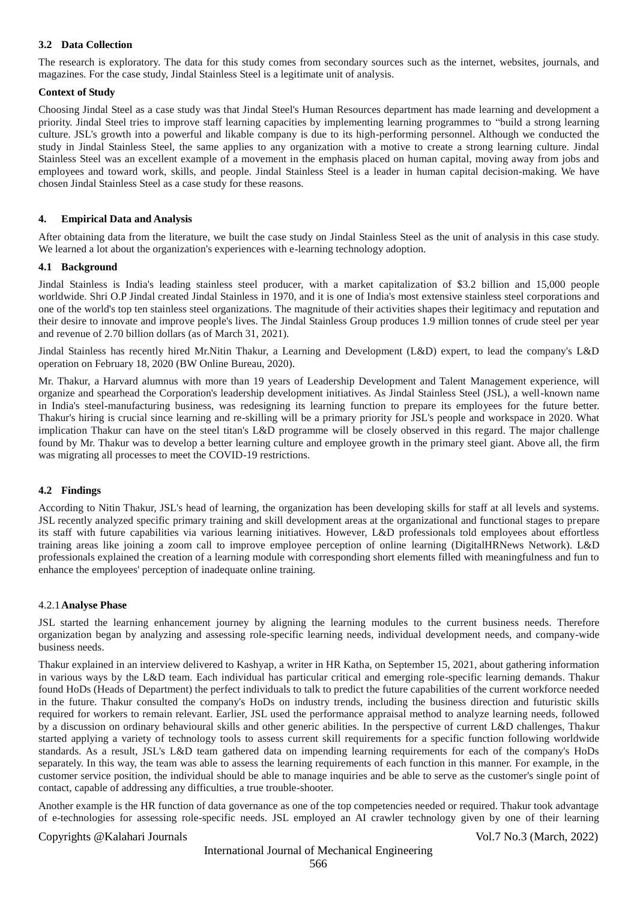## **3.2 Data Collection**

The research is exploratory. The data for this study comes from secondary sources such as the internet, websites, journals, and magazines. For the case study, Jindal Stainless Steel is a legitimate unit of analysis.

## **Context of Study**

Choosing Jindal Steel as a case study was that Jindal Steel's Human Resources department has made learning and development a priority. Jindal Steel tries to improve staff learning capacities by implementing learning programmes to "build a strong learning culture. JSL's growth into a powerful and likable company is due to its high-performing personnel. Although we conducted the study in Jindal Stainless Steel, the same applies to any organization with a motive to create a strong learning culture. Jindal Stainless Steel was an excellent example of a movement in the emphasis placed on human capital, moving away from jobs and employees and toward work, skills, and people. Jindal Stainless Steel is a leader in human capital decision-making. We have chosen Jindal Stainless Steel as a case study for these reasons.

## **4. Empirical Data and Analysis**

After obtaining data from the literature, we built the case study on Jindal Stainless Steel as the unit of analysis in this case study. We learned a lot about the organization's experiences with e-learning technology adoption.

## **4.1 Background**

Jindal Stainless is India's leading stainless steel producer, with a market capitalization of \$3.2 billion and 15,000 people worldwide. Shri O.P Jindal created Jindal Stainless in 1970, and it is one of India's most extensive stainless steel corporations and one of the world's top ten stainless steel organizations. The magnitude of their activities shapes their legitimacy and reputation and their desire to innovate and improve people's lives. The Jindal Stainless Group produces 1.9 million tonnes of crude steel per year and revenue of 2.70 billion dollars (as of March 31, 2021).

Jindal Stainless has recently hired Mr.Nitin Thakur, a Learning and Development (L&D) expert, to lead the company's L&D operation on February 18, 2020 (BW Online Bureau, 2020).

Mr. Thakur, a Harvard alumnus with more than 19 years of Leadership Development and Talent Management experience, will organize and spearhead the Corporation's leadership development initiatives. As Jindal Stainless Steel (JSL), a well-known name in India's steel-manufacturing business, was redesigning its learning function to prepare its employees for the future better. Thakur's hiring is crucial since learning and re-skilling will be a primary priority for JSL's people and workspace in 2020. What implication Thakur can have on the steel titan's L&D programme will be closely observed in this regard. The major challenge found by Mr. Thakur was to develop a better learning culture and employee growth in the primary steel giant. Above all, the firm was migrating all processes to meet the COVID-19 restrictions.

## **4.2 Findings**

According to Nitin Thakur, JSL's head of learning, the organization has been developing skills for staff at all levels and systems. JSL recently analyzed specific primary training and skill development areas at the organizational and functional stages to prepare its staff with future capabilities via various learning initiatives. However, L&D professionals told employees about effortless training areas like joining a zoom call to improve employee perception of online learning (DigitalHRNews Network). L&D professionals explained the creation of a learning module with corresponding short elements filled with meaningfulness and fun to enhance the employees' perception of inadequate online training.

## 4.2.1**Analyse Phase**

JSL started the learning enhancement journey by aligning the learning modules to the current business needs. Therefore organization began by analyzing and assessing role-specific learning needs, individual development needs, and company-wide business needs.

Thakur explained in an interview delivered to Kashyap, a writer in HR Katha, on September 15, 2021, about gathering information in various ways by the L&D team. Each individual has particular critical and emerging role-specific learning demands. Thakur found HoDs (Heads of Department) the perfect individuals to talk to predict the future capabilities of the current workforce needed in the future. Thakur consulted the company's HoDs on industry trends, including the business direction and futuristic skills required for workers to remain relevant. Earlier, JSL used the performance appraisal method to analyze learning needs, followed by a discussion on ordinary behavioural skills and other generic abilities. In the perspective of current L&D challenges, Thakur started applying a variety of technology tools to assess current skill requirements for a specific function following worldwide standards. As a result, JSL's L&D team gathered data on impending learning requirements for each of the company's HoDs separately. In this way, the team was able to assess the learning requirements of each function in this manner. For example, in the customer service position, the individual should be able to manage inquiries and be able to serve as the customer's single point of contact, capable of addressing any difficulties, a true trouble-shooter.

Another example is the HR function of data governance as one of the top competencies needed or required. Thakur took advantage of e-technologies for assessing role-specific needs. JSL employed an AI crawler technology given by one of their learning

## Copyrights @Kalahari Journals Vol.7 No.3 (March, 2022)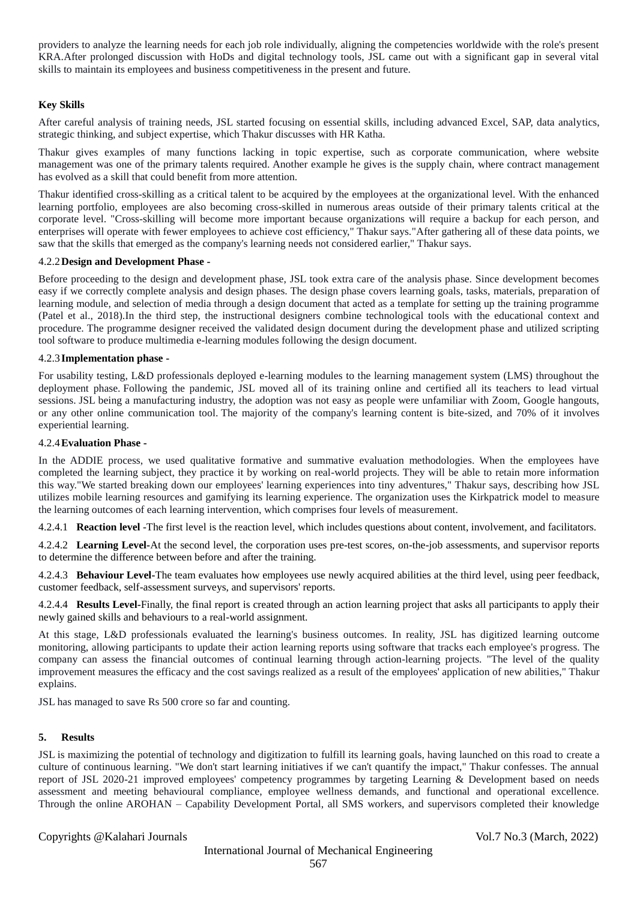providers to analyze the learning needs for each job role individually, aligning the competencies worldwide with the role's present KRA.After prolonged discussion with HoDs and digital technology tools, JSL came out with a significant gap in several vital skills to maintain its employees and business competitiveness in the present and future.

## **Key Skills**

After careful analysis of training needs, JSL started focusing on essential skills, including advanced Excel, SAP, data analytics, strategic thinking, and subject expertise, which Thakur discusses with HR Katha.

Thakur gives examples of many functions lacking in topic expertise, such as corporate communication, where website management was one of the primary talents required. Another example he gives is the supply chain, where contract management has evolved as a skill that could benefit from more attention.

Thakur identified cross-skilling as a critical talent to be acquired by the employees at the organizational level. With the enhanced learning portfolio, employees are also becoming cross-skilled in numerous areas outside of their primary talents critical at the corporate level. "Cross-skilling will become more important because organizations will require a backup for each person, and enterprises will operate with fewer employees to achieve cost efficiency," Thakur says."After gathering all of these data points, we saw that the skills that emerged as the company's learning needs not considered earlier," Thakur says.

## 4.2.2**Design and Development Phase -**

Before proceeding to the design and development phase, JSL took extra care of the analysis phase. Since development becomes easy if we correctly complete analysis and design phases. The design phase covers learning goals, tasks, materials, preparation of learning module, and selection of media through a design document that acted as a template for setting up the training programme (Patel et al., 2018).In the third step, the instructional designers combine technological tools with the educational context and procedure. The programme designer received the validated design document during the development phase and utilized scripting tool software to produce multimedia e-learning modules following the design document.

#### 4.2.3 **Implementation phase -**

For usability testing, L&D professionals deployed e-learning modules to the learning management system (LMS) throughout the deployment phase. Following the pandemic, JSL moved all of its training online and certified all its teachers to lead virtual sessions. JSL being a manufacturing industry, the adoption was not easy as people were unfamiliar with Zoom, Google hangouts, or any other online communication tool. The majority of the company's learning content is bite-sized, and 70% of it involves experiential learning.

#### 4.2.4**Evaluation Phase -**

In the ADDIE process, we used qualitative formative and summative evaluation methodologies. When the employees have completed the learning subject, they practice it by working on real-world projects. They will be able to retain more information this way."We started breaking down our employees' learning experiences into tiny adventures," Thakur says, describing how JSL utilizes mobile learning resources and gamifying its learning experience. The organization uses the Kirkpatrick model to measure the learning outcomes of each learning intervention, which comprises four levels of measurement.

4.2.4.1 **Reaction level** -The first level is the reaction level, which includes questions about content, involvement, and facilitators.

4.2.4.2 **Learning Level-**At the second level, the corporation uses pre-test scores, on-the-job assessments, and supervisor reports to determine the difference between before and after the training.

4.2.4.3 **Behaviour Level-**The team evaluates how employees use newly acquired abilities at the third level, using peer feedback, customer feedback, self-assessment surveys, and supervisors' reports.

4.2.4.4 **Results Level-**Finally, the final report is created through an action learning project that asks all participants to apply their newly gained skills and behaviours to a real-world assignment.

At this stage, L&D professionals evaluated the learning's business outcomes. In reality, JSL has digitized learning outcome monitoring, allowing participants to update their action learning reports using software that tracks each employee's progress. The company can assess the financial outcomes of continual learning through action-learning projects. "The level of the quality improvement measures the efficacy and the cost savings realized as a result of the employees' application of new abilities," Thakur explains.

JSL has managed to save Rs 500 crore so far and counting.

## **5. Results**

JSL is maximizing the potential of technology and digitization to fulfill its learning goals, having launched on this road to create a culture of continuous learning. "We don't start learning initiatives if we can't quantify the impact," Thakur confesses. The annual report of JSL 2020-21 improved employees' competency programmes by targeting Learning & Development based on needs assessment and meeting behavioural compliance, employee wellness demands, and functional and operational excellence. Through the online AROHAN – Capability Development Portal, all SMS workers, and supervisors completed their knowledge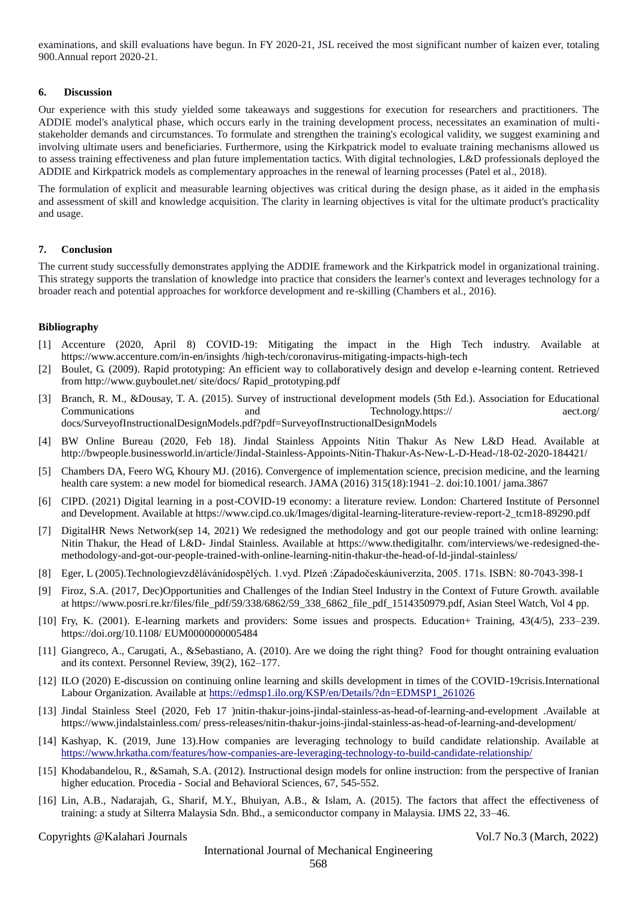examinations, and skill evaluations have begun. In FY 2020-21, JSL received the most significant number of kaizen ever, totaling 900.Annual report 2020-21.

#### **6. Discussion**

Our experience with this study yielded some takeaways and suggestions for execution for researchers and practitioners. The ADDIE model's analytical phase, which occurs early in the training development process, necessitates an examination of multistakeholder demands and circumstances. To formulate and strengthen the training's ecological validity, we suggest examining and involving ultimate users and beneficiaries. Furthermore, using the Kirkpatrick model to evaluate training mechanisms allowed us to assess training effectiveness and plan future implementation tactics. With digital technologies, L&D professionals deployed the ADDIE and Kirkpatrick models as complementary approaches in the renewal of learning processes (Patel et al., 2018).

The formulation of explicit and measurable learning objectives was critical during the design phase, as it aided in the emphasis and assessment of skill and knowledge acquisition. The clarity in learning objectives is vital for the ultimate product's practicality and usage.

## **7. Conclusion**

The current study successfully demonstrates applying the ADDIE framework and the Kirkpatrick model in organizational training. This strategy supports the translation of knowledge into practice that considers the learner's context and leverages technology for a broader reach and potential approaches for workforce development and re-skilling (Chambers et al., 2016).

#### **Bibliography**

- [1] Accenture (2020, April 8) COVID-19: Mitigating the impact in the High Tech industry. Available at <https://www.accenture.com/in-en/insights> /high-tech/coronavirus-mitigating-impacts-high-tech
- [2] Boulet, G. (2009). Rapid prototyping: An efficient way to collaboratively design and develop e-learning content. Retrieved from http://www.guyboulet.net/ site/docs/ Rapid\_prototyping.pdf
- [3] Branch, R. M., &Dousay, T. A. (2015). Survey of instructional development models (5th Ed.). Association for Educational Communications and Technology.https:// aect.org/ docs/SurveyofInstructionalDesignModels.pdf?pdf=SurveyofInstructionalDesignModels
- [4] BW Online Bureau (2020, Feb 18). Jindal Stainless Appoints Nitin Thakur As New L&D Head. Available at http://bwpeople.businessworld.in/article/Jindal-Stainless-Appoints-Nitin-Thakur-As-New-L-D-Head-/18-02-2020-184421/
- [5] Chambers DA, Feero WG, Khoury MJ. (2016). Convergence of implementation science, precision medicine, and the learning health care system: a new model for biomedical research. JAMA (2016) 315(18):1941–2. doi:10.1001/ jama.3867
- [6] CIPD. (2021) Digital learning in a post-COVID-19 economy: a literature review. London: Chartered Institute of Personnel and Development. Available at https://www.cipd.co.uk/Images/digital-learning-literature-review-report-2\_tcm18-89290.pdf
- [7] DigitalHR News Network(sep 14, 2021) We redesigned the methodology and got our people trained with online learning: Nitin Thakur, the Head of L&D- Jindal Stainless. Available at https://www.thedigitalhr. com/interviews/we-redesigned-themethodology-and-got-our-people-trained-with-online-learning-nitin-thakur-the-head-of-ld-jindal-stainless/
- [8] Eger, L (2005).Technologievzdělávánídospělých. 1.vyd. Plzeň :Západočeskáuniverzita, 2005. 171s. ISBN: 80-7043-398-1
- [9] Firoz, S.A. (2017, Dec)Opportunities and Challenges of the Indian Steel Industry in the Context of Future Growth. available at https://www.posri.re.kr/files/file\_pdf/59/338/6862/59\_338\_6862\_file\_pdf\_1514350979.pdf, Asian Steel Watch, Vol 4 pp.
- [10] Fry, K. (2001). E-learning markets and providers: Some issues and prospects. Education+ Training, 43(4/5), 233–239. [https://doi.org/10.1108/ EUM0000000005484](https://doi.org/10.1108/%20EUM0000000005484)
- [11] Giangreco, A., Carugati, A., &Sebastiano, A. (2010). Are we doing the right thing? Food for thought ontraining evaluation and its context. Personnel Review, 39(2), 162–177.
- [\[12](https://www.adb.org/publications/covid-19-youth-%20employment-crisis-asia-pacific)] ILO (2020) E-discussion on continuing online learning and skills development in times of the COVID-19crisis.International Labour Organization. Available at https://edmsp1.ilo.org/KSP/en/Details/?dn=EDMSP1\_261026
- [13] Jindal Stainless Steel (2020, Feb 17 )nitin-thakur-joins-jindal-stainless-as-head-of-learning-and-evelopment .Available at <https://www.jindalstainless.com/> press-releases/nitin-thakur-joins-jindal-stainless-as-head-of-learning-and-development/
- [14] Kashyap, K. (2019, June 13).How companies are leveraging technology to build candidate relationship. Available at https://www.hrkatha.com/features/how-companies-are-leveraging-technology-to-build-candidate-relationship/
- [15] Khodabandelou, R., &Samah, S.A. (2012). Instructional design models for online instruction: from the perspective of Iranian higher education. Procedia - Social and Behavioral Sciences, 67, 545-552.
- [16] Lin, A.B., Nadarajah, G., Sharif, M.Y., Bhuiyan, A.B., & Islam, A. (2015). The factors that affect the effectiveness of training: a study at Silterra Malaysia Sdn. Bhd., a semiconductor company in Malaysia. IJMS 22, 33–46.

Copyrights @Kalahari Journals Vol.7 No.3 (March, 2022)